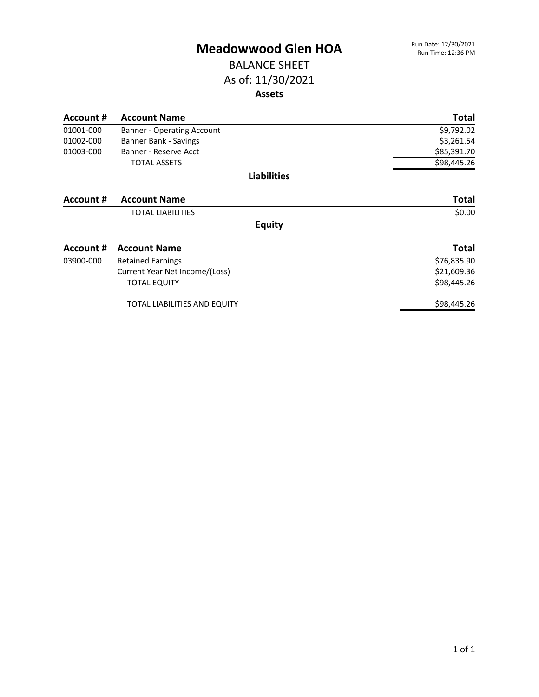#### BALANCE SHEET As of: 11/30/2021 **Assets**

| Account # | <b>Account Name</b>                 | <b>Total</b> |
|-----------|-------------------------------------|--------------|
| 01001-000 | Banner - Operating Account          | \$9,792.02   |
| 01002-000 | Banner Bank - Savings               | \$3,261.54   |
| 01003-000 | Banner - Reserve Acct               | \$85,391.70  |
|           | <b>TOTAL ASSETS</b>                 | \$98,445.26  |
|           | <b>Liabilities</b>                  |              |
| Account # | <b>Account Name</b>                 | <b>Total</b> |
|           | <b>TOTAL LIABILITIES</b>            | \$0.00       |
|           | <b>Equity</b>                       |              |
| Account # | <b>Account Name</b>                 | <b>Total</b> |
| 03900-000 | <b>Retained Earnings</b>            | \$76,835.90  |
|           | Current Year Net Income/(Loss)      | \$21,609.36  |
|           | <b>TOTAL EQUITY</b>                 | \$98,445.26  |
|           | <b>TOTAL LIABILITIES AND EQUITY</b> | \$98,445.26  |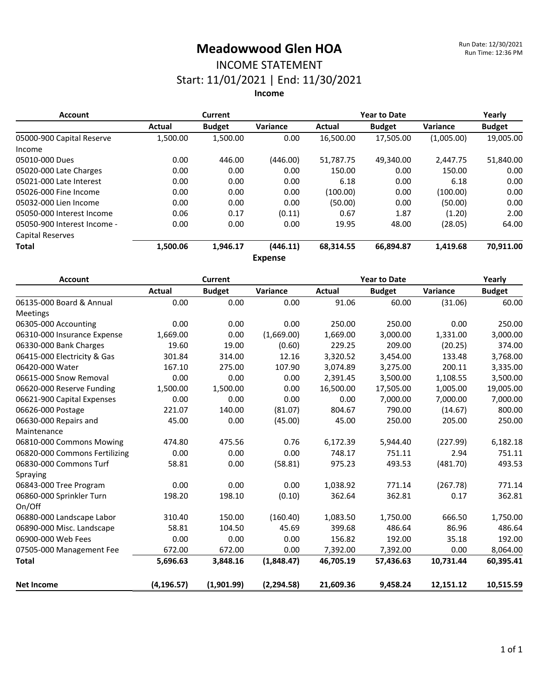# INCOME STATEMENT

Start: 11/01/2021 | End: 11/30/2021

**Income**

| <b>Account</b>              | Current  |               |                | <b>Year to Date</b> |               |            | Yearly        |
|-----------------------------|----------|---------------|----------------|---------------------|---------------|------------|---------------|
|                             | Actual   | <b>Budget</b> | Variance       | Actual              | <b>Budget</b> | Variance   | <b>Budget</b> |
| 05000-900 Capital Reserve   | 1,500.00 | 1,500.00      | 0.00           | 16,500.00           | 17,505.00     | (1,005.00) | 19,005.00     |
| Income                      |          |               |                |                     |               |            |               |
| 05010-000 Dues              | 0.00     | 446.00        | (446.00)       | 51,787.75           | 49.340.00     | 2.447.75   | 51,840.00     |
| 05020-000 Late Charges      | 0.00     | 0.00          | 0.00           | 150.00              | 0.00          | 150.00     | 0.00          |
| 05021-000 Late Interest     | 0.00     | 0.00          | 0.00           | 6.18                | 0.00          | 6.18       | 0.00          |
| 05026-000 Fine Income       | 0.00     | 0.00          | 0.00           | (100.00)            | 0.00          | (100.00)   | 0.00          |
| 05032-000 Lien Income       | 0.00     | 0.00          | 0.00           | (50.00)             | 0.00          | (50.00)    | 0.00          |
| 05050-000 Interest Income   | 0.06     | 0.17          | (0.11)         | 0.67                | 1.87          | (1.20)     | 2.00          |
| 05050-900 Interest Income - | 0.00     | 0.00          | 0.00           | 19.95               | 48.00         | (28.05)    | 64.00         |
| <b>Capital Reserves</b>     |          |               |                |                     |               |            |               |
| <b>Total</b>                | 1,500.06 | 1,946.17      | (446.11)       | 68,314.55           | 66,894.87     | 1,419.68   | 70,911.00     |
|                             |          |               | <b>Expense</b> |                     |               |            |               |

| <b>Account</b>                | <b>Current</b> |               |             | <b>Year to Date</b> |               |           | Yearly        |
|-------------------------------|----------------|---------------|-------------|---------------------|---------------|-----------|---------------|
|                               | <b>Actual</b>  | <b>Budget</b> | Variance    | Actual              | <b>Budget</b> | Variance  | <b>Budget</b> |
| 06135-000 Board & Annual      | 0.00           | 0.00          | 0.00        | 91.06               | 60.00         | (31.06)   | 60.00         |
| Meetings                      |                |               |             |                     |               |           |               |
| 06305-000 Accounting          | 0.00           | 0.00          | 0.00        | 250.00              | 250.00        | 0.00      | 250.00        |
| 06310-000 Insurance Expense   | 1,669.00       | 0.00          | (1,669.00)  | 1,669.00            | 3,000.00      | 1,331.00  | 3,000.00      |
| 06330-000 Bank Charges        | 19.60          | 19.00         | (0.60)      | 229.25              | 209.00        | (20.25)   | 374.00        |
| 06415-000 Electricity & Gas   | 301.84         | 314.00        | 12.16       | 3,320.52            | 3,454.00      | 133.48    | 3,768.00      |
| 06420-000 Water               | 167.10         | 275.00        | 107.90      | 3,074.89            | 3,275.00      | 200.11    | 3,335.00      |
| 06615-000 Snow Removal        | 0.00           | 0.00          | 0.00        | 2,391.45            | 3,500.00      | 1,108.55  | 3,500.00      |
| 06620-000 Reserve Funding     | 1,500.00       | 1,500.00      | 0.00        | 16,500.00           | 17,505.00     | 1,005.00  | 19,005.00     |
| 06621-900 Capital Expenses    | 0.00           | 0.00          | 0.00        | 0.00                | 7,000.00      | 7,000.00  | 7,000.00      |
| 06626-000 Postage             | 221.07         | 140.00        | (81.07)     | 804.67              | 790.00        | (14.67)   | 800.00        |
| 06630-000 Repairs and         | 45.00          | 0.00          | (45.00)     | 45.00               | 250.00        | 205.00    | 250.00        |
| Maintenance                   |                |               |             |                     |               |           |               |
| 06810-000 Commons Mowing      | 474.80         | 475.56        | 0.76        | 6,172.39            | 5,944.40      | (227.99)  | 6,182.18      |
| 06820-000 Commons Fertilizing | 0.00           | 0.00          | 0.00        | 748.17              | 751.11        | 2.94      | 751.11        |
| 06830-000 Commons Turf        | 58.81          | 0.00          | (58.81)     | 975.23              | 493.53        | (481.70)  | 493.53        |
| Spraying                      |                |               |             |                     |               |           |               |
| 06843-000 Tree Program        | 0.00           | 0.00          | 0.00        | 1,038.92            | 771.14        | (267.78)  | 771.14        |
| 06860-000 Sprinkler Turn      | 198.20         | 198.10        | (0.10)      | 362.64              | 362.81        | 0.17      | 362.81        |
| On/Off                        |                |               |             |                     |               |           |               |
| 06880-000 Landscape Labor     | 310.40         | 150.00        | (160.40)    | 1,083.50            | 1,750.00      | 666.50    | 1,750.00      |
| 06890-000 Misc. Landscape     | 58.81          | 104.50        | 45.69       | 399.68              | 486.64        | 86.96     | 486.64        |
| 06900-000 Web Fees            | 0.00           | 0.00          | 0.00        | 156.82              | 192.00        | 35.18     | 192.00        |
| 07505-000 Management Fee      | 672.00         | 672.00        | 0.00        | 7,392.00            | 7,392.00      | 0.00      | 8,064.00      |
| <b>Total</b>                  | 5,696.63       | 3,848.16      | (1,848.47)  | 46,705.19           | 57,436.63     | 10,731.44 | 60,395.41     |
| <b>Net Income</b>             | (4, 196.57)    | (1,901.99)    | (2, 294.58) | 21,609.36           | 9,458.24      | 12,151.12 | 10,515.59     |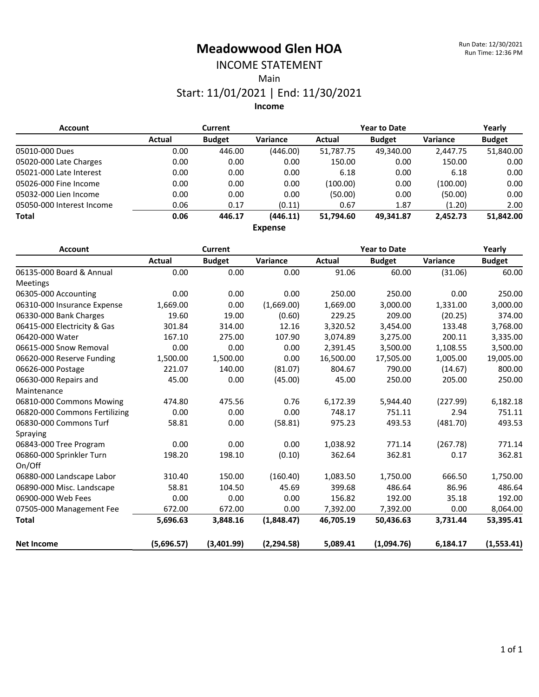# INCOME STATEMENT

Main

#### Start: 11/01/2021 | End: 11/30/2021

**Income**

| <b>Account</b>            | <b>Current</b> |               |                | <b>Year to Date</b> |               |                 | Yearly        |
|---------------------------|----------------|---------------|----------------|---------------------|---------------|-----------------|---------------|
|                           | Actual         | <b>Budget</b> | Variance       | Actual              | <b>Budget</b> | <b>Variance</b> | <b>Budget</b> |
| 05010-000 Dues            | 0.00           | 446.00        | (446.00)       | 51,787.75           | 49,340.00     | 2.447.75        | 51,840.00     |
| 05020-000 Late Charges    | 0.00           | 0.00          | 0.00           | 150.00              | 0.00          | 150.00          | 0.00          |
| 05021-000 Late Interest   | 0.00           | 0.00          | 0.00           | 6.18                | 0.00          | 6.18            | 0.00          |
| 05026-000 Fine Income     | 0.00           | 0.00          | 0.00           | (100.00)            | 0.00          | (100.00)        | 0.00          |
| 05032-000 Lien Income     | 0.00           | 0.00          | 0.00           | (50.00)             | 0.00          | (50.00)         | 0.00          |
| 05050-000 Interest Income | 0.06           | 0.17          | (0.11)         | 0.67                | 1.87          | (1.20)          | 2.00          |
| <b>Total</b>              | 0.06           | 446.17        | (446.11)       | 51.794.60           | 49.341.87     | 2.452.73        | 51.842.00     |
|                           |                |               | <b>Expense</b> |                     |               |                 |               |

| <b>Account</b>                | Current    |               |             | <b>Year to Date</b> |               |          | Yearly        |
|-------------------------------|------------|---------------|-------------|---------------------|---------------|----------|---------------|
|                               | Actual     | <b>Budget</b> | Variance    | Actual              | <b>Budget</b> | Variance | <b>Budget</b> |
| 06135-000 Board & Annual      | 0.00       | 0.00          | 0.00        | 91.06               | 60.00         | (31.06)  | 60.00         |
| <b>Meetings</b>               |            |               |             |                     |               |          |               |
| 06305-000 Accounting          | 0.00       | 0.00          | 0.00        | 250.00              | 250.00        | 0.00     | 250.00        |
| 06310-000 Insurance Expense   | 1,669.00   | 0.00          | (1,669.00)  | 1,669.00            | 3,000.00      | 1,331.00 | 3,000.00      |
| 06330-000 Bank Charges        | 19.60      | 19.00         | (0.60)      | 229.25              | 209.00        | (20.25)  | 374.00        |
| 06415-000 Electricity & Gas   | 301.84     | 314.00        | 12.16       | 3,320.52            | 3,454.00      | 133.48   | 3,768.00      |
| 06420-000 Water               | 167.10     | 275.00        | 107.90      | 3,074.89            | 3,275.00      | 200.11   | 3,335.00      |
| 06615-000 Snow Removal        | 0.00       | 0.00          | 0.00        | 2,391.45            | 3,500.00      | 1,108.55 | 3,500.00      |
| 06620-000 Reserve Funding     | 1,500.00   | 1,500.00      | 0.00        | 16,500.00           | 17,505.00     | 1,005.00 | 19,005.00     |
| 06626-000 Postage             | 221.07     | 140.00        | (81.07)     | 804.67              | 790.00        | (14.67)  | 800.00        |
| 06630-000 Repairs and         | 45.00      | 0.00          | (45.00)     | 45.00               | 250.00        | 205.00   | 250.00        |
| Maintenance                   |            |               |             |                     |               |          |               |
| 06810-000 Commons Mowing      | 474.80     | 475.56        | 0.76        | 6,172.39            | 5,944.40      | (227.99) | 6,182.18      |
| 06820-000 Commons Fertilizing | 0.00       | 0.00          | 0.00        | 748.17              | 751.11        | 2.94     | 751.11        |
| 06830-000 Commons Turf        | 58.81      | 0.00          | (58.81)     | 975.23              | 493.53        | (481.70) | 493.53        |
| Spraying                      |            |               |             |                     |               |          |               |
| 06843-000 Tree Program        | 0.00       | 0.00          | 0.00        | 1,038.92            | 771.14        | (267.78) | 771.14        |
| 06860-000 Sprinkler Turn      | 198.20     | 198.10        | (0.10)      | 362.64              | 362.81        | 0.17     | 362.81        |
| On/Off                        |            |               |             |                     |               |          |               |
| 06880-000 Landscape Labor     | 310.40     | 150.00        | (160.40)    | 1,083.50            | 1,750.00      | 666.50   | 1,750.00      |
| 06890-000 Misc. Landscape     | 58.81      | 104.50        | 45.69       | 399.68              | 486.64        | 86.96    | 486.64        |
| 06900-000 Web Fees            | 0.00       | 0.00          | 0.00        | 156.82              | 192.00        | 35.18    | 192.00        |
| 07505-000 Management Fee      | 672.00     | 672.00        | 0.00        | 7,392.00            | 7,392.00      | 0.00     | 8,064.00      |
| <b>Total</b>                  | 5,696.63   | 3,848.16      | (1,848.47)  | 46,705.19           | 50,436.63     | 3,731.44 | 53,395.41     |
| <b>Net Income</b>             | (5,696.57) | (3,401.99)    | (2, 294.58) | 5,089.41            | (1,094.76)    | 6,184.17 | (1,553.41)    |